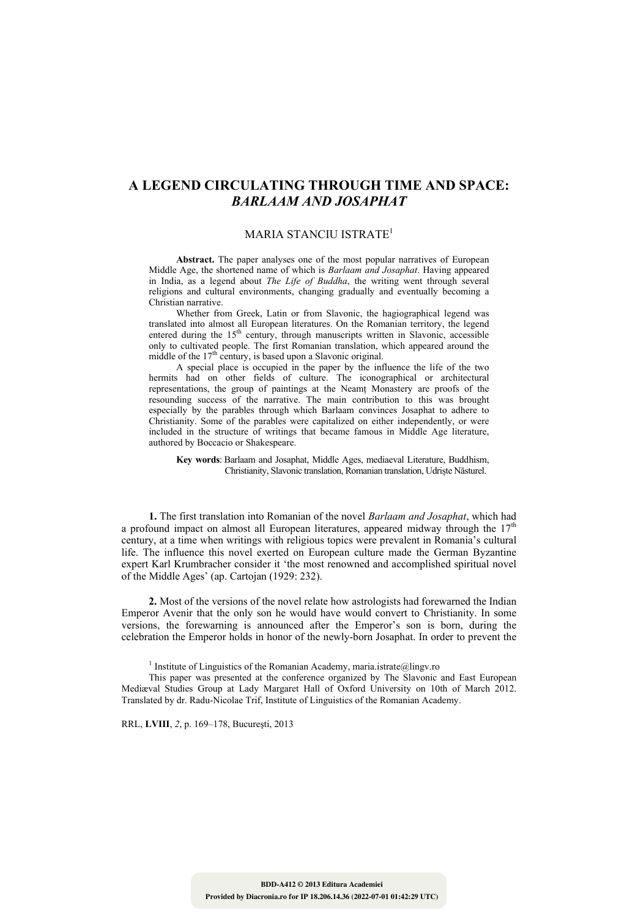## **A LEGEND CIRCULATING THROUGH TIME AND SPACE:**  *BARLAAM AND JOSAPHAT*

## MARIA STANCIU ISTRATE<sup>1</sup>

**Abstract.** The paper analyses one of the most popular narratives of European Middle Age, the shortened name of which is *Barlaam and Josaphat*. Having appeared in India, as a legend about *The Life of Buddha*, the writing went through several religions and cultural environments, changing gradually and eventually becoming a Christian narrative.

Whether from Greek, Latin or from Slavonic, the hagiographical legend was translated into almost all European literatures. On the Romanian territory, the legend entered during the  $15<sup>th</sup>$  century, through manuscripts written in Slavonic, accessible only to cultivated people. The first Romanian translation, which appeared around the middle of the  $17<sup>th</sup>$  century, is based upon a Slavonic original.

A special place is occupied in the paper by the influence the life of the two hermits had on other fields of culture. The iconographical or architectural representations, the group of paintings at the Neamț Monastery are proofs of the resounding success of the narrative. The main contribution to this was brought especially by the parables through which Barlaam convinces Josaphat to adhere to Christianity. Some of the parables were capitalized on either independently, or were included in the structure of writings that became famous in Middle Age literature, authored by Boccacio or Shakespeare.

**Key words**: Barlaam and Josaphat, Middle Ages, mediaeval Literature, Buddhism, Christianity, Slavonic translation, Romanian translation, Udriște Năsturel.

**1.** The first translation into Romanian of the novel *Barlaam and Josaphat*, which had a profound impact on almost all European literatures, appeared midway through the  $17<sup>th</sup>$ century, at a time when writings with religious topics were prevalent in Romania's cultural life. The influence this novel exerted on European culture made the German Byzantine expert Karl Krumbracher consider it 'the most renowned and accomplished spiritual novel of the Middle Ages' (ap. Cartojan (1929: 232).

**2.** Most of the versions of the novel relate how astrologists had forewarned the Indian Emperor Avenir that the only son he would have would convert to Christianity. In some versions, the forewarning is announced after the Emperor's son is born, during the celebration the Emperor holds in honor of the newly-born Josaphat. In order to prevent the

<sup>1</sup> Institute of Linguistics of the Romanian Academy, maria.istrate@lingv.ro

This paper was presented at the conference organized by The Slavonic and East European Mediæval Studies Group at Lady Margaret Hall of Oxford University on 10th of March 2012. Translated by dr. Radu-Nicolae Trif, Institute of Linguistics of the Romanian Academy.

RRL, **LVIII**, *2*, p. 169–178, Bucureşti, 2013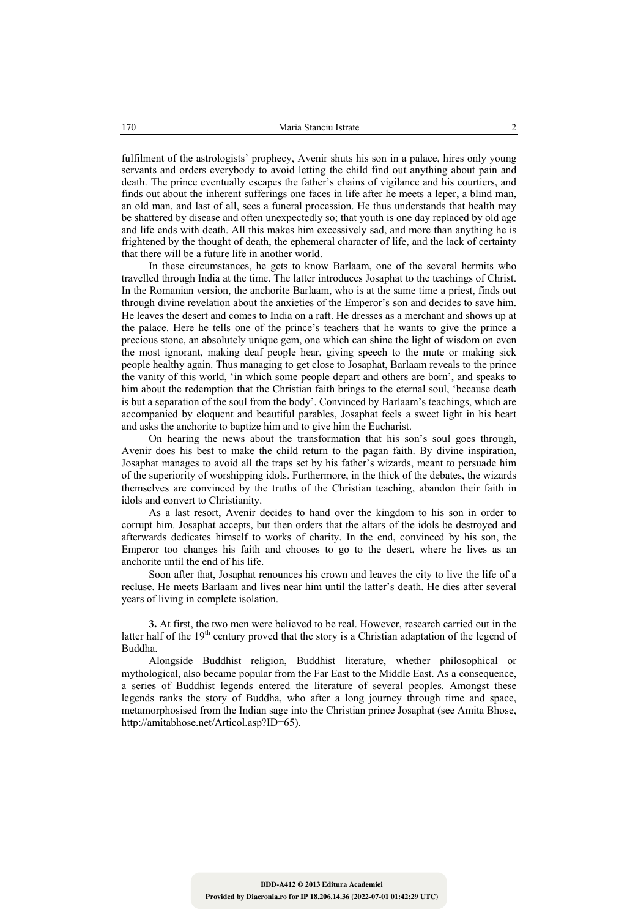fulfilment of the astrologists' prophecy, Avenir shuts his son in a palace, hires only young servants and orders everybody to avoid letting the child find out anything about pain and death. The prince eventually escapes the father's chains of vigilance and his courtiers, and finds out about the inherent sufferings one faces in life after he meets a leper, a blind man, an old man, and last of all, sees a funeral procession. He thus understands that health may be shattered by disease and often unexpectedly so; that youth is one day replaced by old age and life ends with death. All this makes him excessively sad, and more than anything he is frightened by the thought of death, the ephemeral character of life, and the lack of certainty that there will be a future life in another world.

In these circumstances, he gets to know Barlaam, one of the several hermits who travelled through India at the time. The latter introduces Josaphat to the teachings of Christ. In the Romanian version, the anchorite Barlaam, who is at the same time a priest, finds out through divine revelation about the anxieties of the Emperor's son and decides to save him. He leaves the desert and comes to India on a raft. He dresses as a merchant and shows up at the palace. Here he tells one of the prince's teachers that he wants to give the prince a precious stone, an absolutely unique gem, one which can shine the light of wisdom on even the most ignorant, making deaf people hear, giving speech to the mute or making sick people healthy again. Thus managing to get close to Josaphat, Barlaam reveals to the prince the vanity of this world, 'in which some people depart and others are born', and speaks to him about the redemption that the Christian faith brings to the eternal soul, 'because death is but a separation of the soul from the body'. Convinced by Barlaam's teachings, which are accompanied by eloquent and beautiful parables, Josaphat feels a sweet light in his heart and asks the anchorite to baptize him and to give him the Eucharist.

On hearing the news about the transformation that his son's soul goes through, Avenir does his best to make the child return to the pagan faith. By divine inspiration, Josaphat manages to avoid all the traps set by his father's wizards, meant to persuade him of the superiority of worshipping idols. Furthermore, in the thick of the debates, the wizards themselves are convinced by the truths of the Christian teaching, abandon their faith in idols and convert to Christianity.

As a last resort, Avenir decides to hand over the kingdom to his son in order to corrupt him. Josaphat accepts, but then orders that the altars of the idols be destroyed and afterwards dedicates himself to works of charity. In the end, convinced by his son, the Emperor too changes his faith and chooses to go to the desert, where he lives as an anchorite until the end of his life.

Soon after that, Josaphat renounces his crown and leaves the city to live the life of a recluse. He meets Barlaam and lives near him until the latter's death. He dies after several years of living in complete isolation.

**3.** At first, the two men were believed to be real. However, research carried out in the latter half of the  $19<sup>th</sup>$  century proved that the story is a Christian adaptation of the legend of Buddha.

Alongside Buddhist religion, Buddhist literature, whether philosophical or mythological, also became popular from the Far East to the Middle East. As a consequence, a series of Buddhist legends entered the literature of several peoples. Amongst these legends ranks the story of Buddha, who after a long journey through time and space, metamorphosised from the Indian sage into the Christian prince Josaphat (see Amita Bhose, http://amitabhose.net/Articol.asp?ID=65).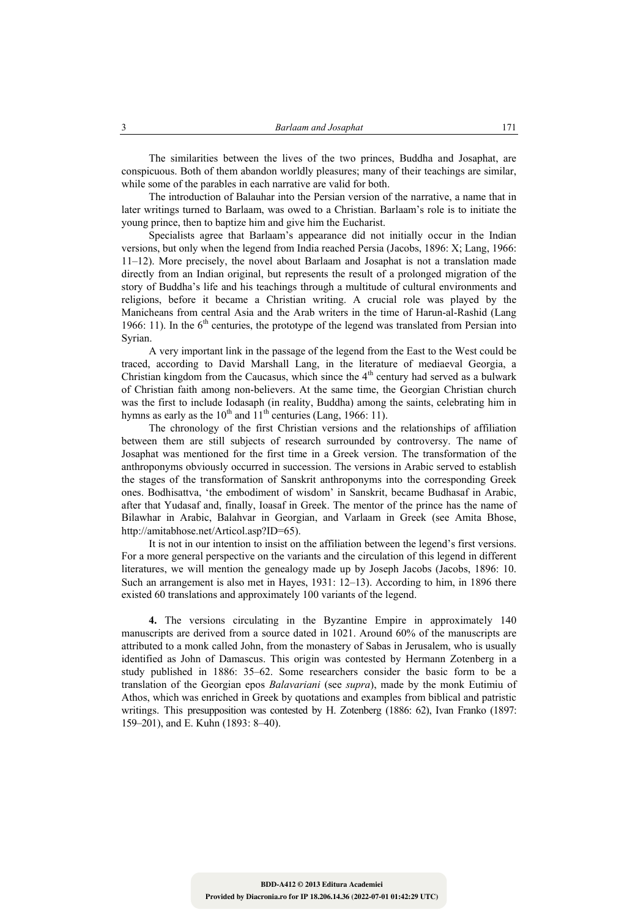The similarities between the lives of the two princes, Buddha and Josaphat, are conspicuous. Both of them abandon worldly pleasures; many of their teachings are similar, while some of the parables in each narrative are valid for both.

The introduction of Balauhar into the Persian version of the narrative, a name that in later writings turned to Barlaam, was owed to a Christian. Barlaam's role is to initiate the young prince, then to baptize him and give him the Eucharist.

Specialists agree that Barlaam's appearance did not initially occur in the Indian versions, but only when the legend from India reached Persia (Jacobs, 1896: X; Lang, 1966: 11–12). More precisely, the novel about Barlaam and Josaphat is not a translation made directly from an Indian original, but represents the result of a prolonged migration of the story of Buddha's life and his teachings through a multitude of cultural environments and religions, before it became a Christian writing. A crucial role was played by the Manicheans from central Asia and the Arab writers in the time of Harun-al-Rashid (Lang 1966: 11). In the  $6<sup>th</sup>$  centuries, the prototype of the legend was translated from Persian into Syrian.

A very important link in the passage of the legend from the East to the West could be traced, according to David Marshall Lang, in the literature of mediaeval Georgia, a Christian kingdom from the Caucasus, which since the  $4<sup>th</sup>$  century had served as a bulwark of Christian faith among non-believers. At the same time, the Georgian Christian church was the first to include Iodasaph (in reality, Buddha) among the saints, celebrating him in hymns as early as the  $10^{th}$  and  $11^{th}$  centuries (Lang, 1966: 11).

The chronology of the first Christian versions and the relationships of affiliation between them are still subjects of research surrounded by controversy. The name of Josaphat was mentioned for the first time in a Greek version. The transformation of the anthroponyms obviously occurred in succession. The versions in Arabic served to establish the stages of the transformation of Sanskrit anthroponyms into the corresponding Greek ones. Bodhisattva, 'the embodiment of wisdom' in Sanskrit, became Budhasaf in Arabic, after that Yudasaf and, finally, Ioasaf in Greek. The mentor of the prince has the name of Bilawhar in Arabic, Balahvar in Georgian, and Varlaam in Greek (see Amita Bhose, http://amitabhose.net/Articol.asp?ID=65).

It is not in our intention to insist on the affiliation between the legend's first versions. For a more general perspective on the variants and the circulation of this legend in different literatures, we will mention the genealogy made up by Joseph Jacobs (Jacobs, 1896: 10. Such an arrangement is also met in Hayes, 1931: 12–13). According to him, in 1896 there existed 60 translations and approximately 100 variants of the legend.

**4.** The versions circulating in the Byzantine Empire in approximately 140 manuscripts are derived from a source dated in 1021. Around 60% of the manuscripts are attributed to a monk called John, from the monastery of Sabas in Jerusalem, who is usually identified as John of Damascus. This origin was contested by Hermann Zotenberg in a study published in 1886: 35–62. Some researchers consider the basic form to be a translation of the Georgian epos *Balavariani* (see *supra*), made by the monk Eutimiu of Athos, which was enriched in Greek by quotations and examples from biblical and patristic writings. This presupposition was contested by H. Zotenberg (1886: 62), Ivan Franko (1897: 159–201), and E. Kuhn (1893: 8–40).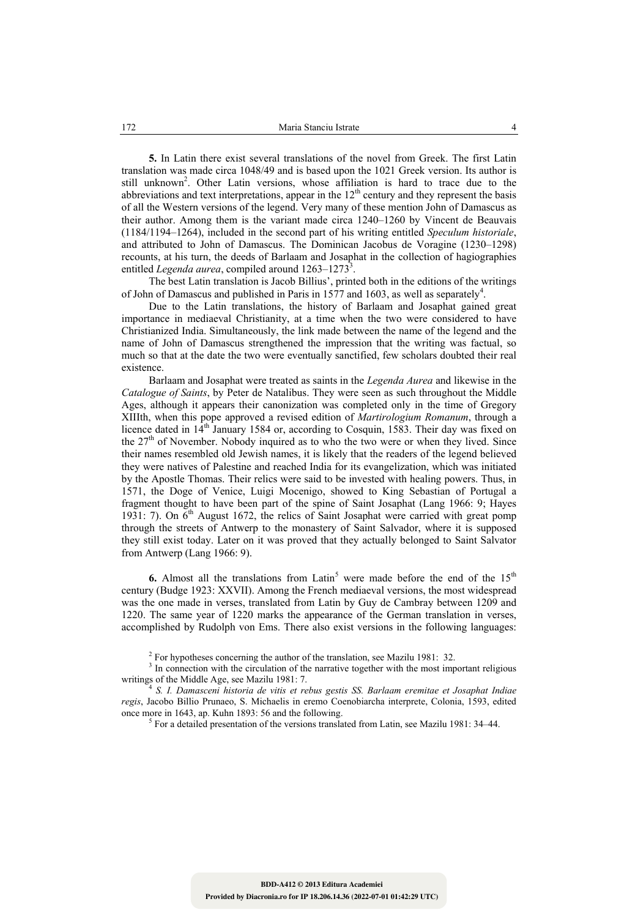**5.** In Latin there exist several translations of the novel from Greek. The first Latin translation was made circa 1048/49 and is based upon the 1021 Greek version. Its author is still unknown<sup>2</sup>. Other Latin versions, whose affiliation is hard to trace due to the abbreviations and text interpretations, appear in the  $12<sup>th</sup>$  century and they represent the basis of all the Western versions of the legend. Very many of these mention John of Damascus as their author. Among them is the variant made circa 1240–1260 by Vincent de Beauvais (1184/1194–1264), included in the second part of his writing entitled *Speculum historiale*, and attributed to John of Damascus. The Dominican Jacobus de Voragine (1230–1298) recounts, at his turn, the deeds of Barlaam and Josaphat in the collection of hagiographies entitled *Legenda aurea*, compiled around 1263–1273<sup>3</sup>.

The best Latin translation is Jacob Billius', printed both in the editions of the writings of John of Damascus and published in Paris in 1577 and 1603, as well as separately<sup>4</sup>.

Due to the Latin translations, the history of Barlaam and Josaphat gained great importance in mediaeval Christianity, at a time when the two were considered to have Christianized India. Simultaneously, the link made between the name of the legend and the name of John of Damascus strengthened the impression that the writing was factual, so much so that at the date the two were eventually sanctified, few scholars doubted their real existence.

Barlaam and Josaphat were treated as saints in the *Legenda Aurea* and likewise in the *Catalogue of Saints*, by Peter de Natalibus. They were seen as such throughout the Middle Ages, although it appears their canonization was completed only in the time of Gregory XIIIth, when this pope approved a revised edition of *Martirologium Romanum*, through a licence dated in  $14<sup>th</sup>$  January 1584 or, according to Cosquin, 1583. Their day was fixed on the  $27<sup>th</sup>$  of November. Nobody inquired as to who the two were or when they lived. Since their names resembled old Jewish names, it is likely that the readers of the legend believed they were natives of Palestine and reached India for its evangelization, which was initiated by the Apostle Thomas. Their relics were said to be invested with healing powers. Thus, in 1571, the Doge of Venice, Luigi Mocenigo, showed to King Sebastian of Portugal a fragment thought to have been part of the spine of Saint Josaphat (Lang 1966: 9; Hayes 1931: 7). On  $\vec{6}$ <sup>th</sup> August 1672, the relics of Saint Josaphat were carried with great pomp through the streets of Antwerp to the monastery of Saint Salvador, where it is supposed they still exist today. Later on it was proved that they actually belonged to Saint Salvator from Antwerp (Lang 1966: 9).

**6.** Almost all the translations from Latin<sup>5</sup> were made before the end of the  $15<sup>th</sup>$ century (Budge 1923: XXVII). Among the French mediaeval versions, the most widespread was the one made in verses, translated from Latin by Guy de Cambray between 1209 and 1220. The same year of 1220 marks the appearance of the German translation in verses, accomplished by Rudolph von Ems. There also exist versions in the following languages:

<sup>2</sup> For hypotheses concerning the author of the translation, see Mazilu 1981: 32.  $3 \text{ In connection with the circulation of the nextive together with the most imm-$ 

<sup>3</sup> In connection with the circulation of the narrative together with the most important religious writings of the Middle Age, see Mazilu 1981: 7.

writings of the Middle Age, see Mazilu 1981: 7. 4 *S. I. Damasceni historia de vitis et rebus gestis SS. Barlaam eremitae et Josaphat Indiae regis*, Jacobo Billio Prunaeo, S. Michaelis in eremo Coenobiarcha interprete, Colonia, 1593, edited once more in  $1643$ , ap. Kuhn 1893: 56 and the following.

 $5$  For a detailed presentation of the versions translated from Latin, see Mazilu 1981: 34–44.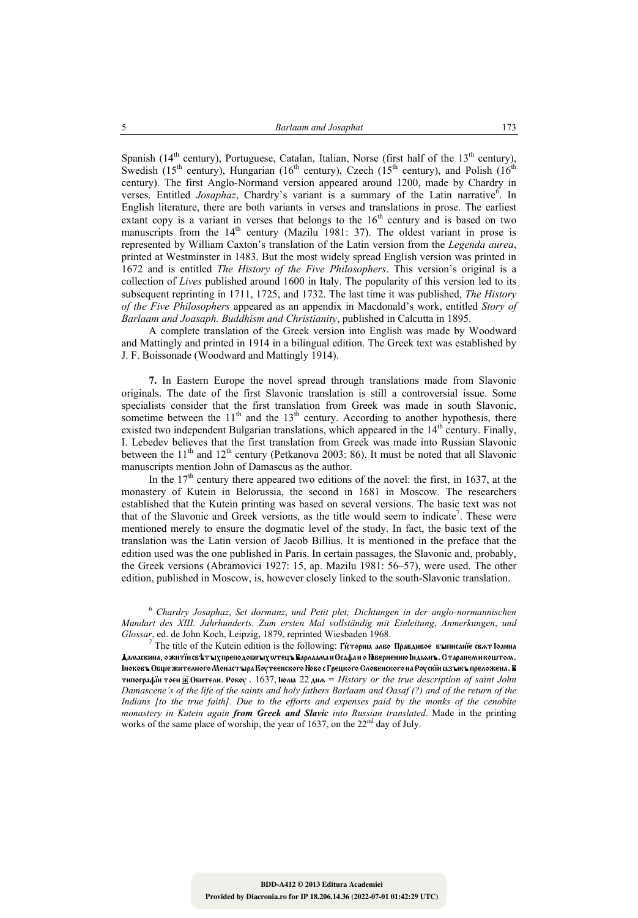Spanish (14<sup>th</sup> century), Portuguese, Catalan, Italian, Norse (first half of the 13<sup>th</sup> century), Swedish (15<sup>th</sup> century), Hungarian (16<sup>th</sup> century), Czech (15<sup>th</sup> century), and Polish (16<sup>th</sup>) century). The first Anglo-Normand version appeared around 1200, made by Chardry in verses. Entitled *Josaphaz*, Chardry's variant is a summary of the Latin narrative<sup>6</sup>. In English literature, there are both variants in verses and translations in prose. The earliest extant copy is a variant in verses that belongs to the  $16<sup>th</sup>$  century and is based on two manuscripts from the  $14<sup>th</sup>$  century (Mazilu 1981: 37). The oldest variant in prose is represented by William Caxton's translation of the Latin version from the *Legenda aurea*, printed at Westminster in 1483. But the most widely spread English version was printed in 1672 and is entitled *The History of the Five Philosophers*. This version's original is a collection of *Lives* published around 1600 in Italy. The popularity of this version led to its subsequent reprinting in 1711, 1725, and 1732. The last time it was published, *The History of the Five Philosophers* appeared as an appendix in Macdonald's work, entitled *Story of Barlaam and Joasaph. Buddhism and Christianity*, published in Calcutta in 1895.

A complete translation of the Greek version into English was made by Woodward and Mattingly and printed in 1914 in a bilingual edition. The Greek text was established by J. F. Boissonade (Woodward and Mattingly 1914).

**7.** In Eastern Europe the novel spread through translations made from Slavonic originals. The date of the first Slavonic translation is still a controversial issue. Some specialists consider that the first translation from Greek was made in south Slavonic, sometime between the  $11<sup>th</sup>$  and the  $13<sup>th</sup>$  century. According to another hypothesis, there existed two independent Bulgarian translations, which appeared in the  $14<sup>th</sup>$  century. Finally, I. Lebedev believes that the first translation from Greek was made into Russian Slavonic between the  $11<sup>th</sup>$  and  $12<sup>th</sup>$  century (Petkanova 2003: 86). It must be noted that all Slavonic manuscripts mention John of Damascus as the author.

In the  $17<sup>th</sup>$  century there appeared two editions of the novel: the first, in 1637, at the monastery of Kutein in Belorussia, the second in 1681 in Moscow. The researchers established that the Kutein printing was based on several versions. The basic text was not that of the Slavonic and Greek versions, as the title would seem to indicate<sup>7</sup>. These were mentioned merely to ensure the dogmatic level of the study. In fact, the basic text of the translation was the Latin version of Jacob Billius. It is mentioned in the preface that the edition used was the one published in Paris. In certain passages, the Slavonic and, probably, the Greek versions (Abramovici 1927: 15, ap. Mazilu 1981: 56–57), were used. The other edition, published in Moscow, is, however closely linked to the south-Slavonic translation.

<sup>6</sup> *Chardry Josaphaz*, *Set dormanz*, *und Petit plet; Dichtungen in der anglo-normannischen Mundart des XIII. Jahrhunderts. Zum ersten Mal vollständig mit Einleitung*, *Anmerkungen*, *und Glossar*, ed. de John Koch, Leipzig, 1879, reprinted Wiesbaden 1968. 7

 $^7$  The title of the Kutein edition is the following: Гісториа албо Правдивое въпнсанїе сват Іоанна Дамаскина, о житїй свѣтъіх преподобнъіх wтецъ Варлаама и Осафа и о Нівернению Індіанъ. Старанем и коштом. Іноковъ Обще жителного Монастъіра Коутеенского Ново с Грецкого Словенского на Роускїй газъікъ преложена. В tipografïi toei (\$ Obiteli. Roku . 1637, Ûülæ 22 dnå = *History or the true description of saint John Damascene's of the life of the saints and holy fathers Barlaam and Oasaf (?) and of the return of the Indians [to the true faith]. Due to the efforts and expenses paid by the monks of the cenobite monastery in Kutein again from Greek and Slavic into Russian translated*. Made in the printing works of the same place of worship, the year of 1637, on the 22<sup>nd</sup> day of July.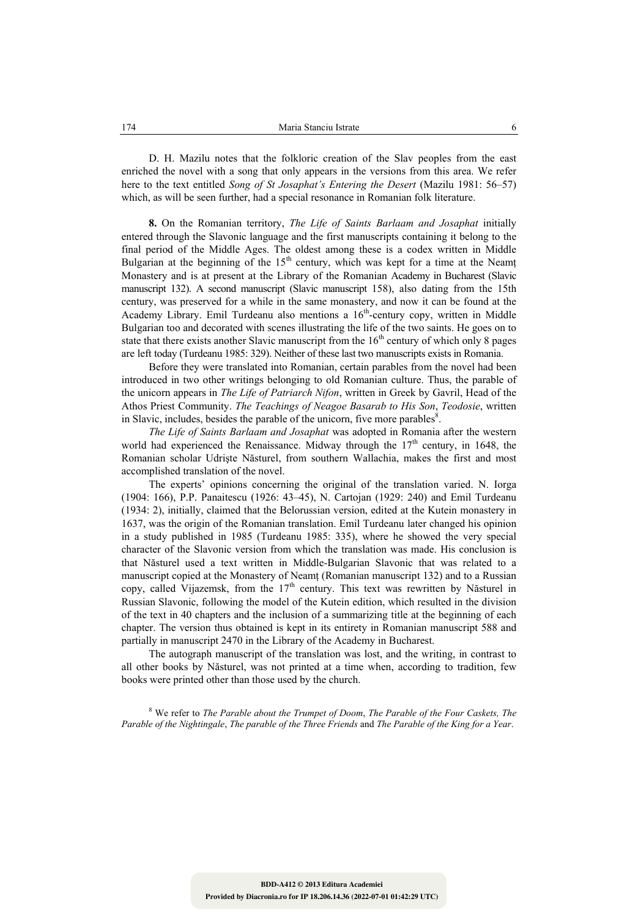D. H. Mazilu notes that the folkloric creation of the Slav peoples from the east enriched the novel with a song that only appears in the versions from this area. We refer here to the text entitled *Song of St Josaphat's Entering the Desert* (Mazilu 1981: 56–57) which, as will be seen further, had a special resonance in Romanian folk literature.

**8.** On the Romanian territory, *The Life of Saints Barlaam and Josaphat* initially entered through the Slavonic language and the first manuscripts containing it belong to the final period of the Middle Ages. The oldest among these is a codex written in Middle Bulgarian at the beginning of the  $15<sup>th</sup>$  century, which was kept for a time at the Neamt Monastery and is at present at the Library of the Romanian Academy in Bucharest (Slavic manuscript 132). A second manuscript (Slavic manuscript 158), also dating from the 15th century, was preserved for a while in the same monastery, and now it can be found at the Academy Library. Emil Turdeanu also mentions a  $16<sup>th</sup>$ -century copy, written in Middle Bulgarian too and decorated with scenes illustrating the life of the two saints. He goes on to state that there exists another Slavic manuscript from the  $16<sup>th</sup>$  century of which only 8 pages are left today (Turdeanu 1985: 329). Neither of these last two manuscripts exists in Romania.

Before they were translated into Romanian, certain parables from the novel had been introduced in two other writings belonging to old Romanian culture. Thus, the parable of the unicorn appears in *The Life of Patriarch Nifon*, written in Greek by Gavril, Head of the Athos Priest Community. *The Teachings of Neagoe Basarab to His Son*, *Teodosie*, written in Slavic, includes, besides the parable of the unicorn, five more parables $8$ .

*The Life of Saints Barlaam and Josaphat* was adopted in Romania after the western world had experienced the Renaissance. Midway through the  $17<sup>th</sup>$  century, in 1648, the Romanian scholar Udrişte Năsturel, from southern Wallachia, makes the first and most accomplished translation of the novel.

The experts' opinions concerning the original of the translation varied. N. Iorga (1904: 166), P.P. Panaitescu (1926: 43–45), N. Cartojan (1929: 240) and Emil Turdeanu (1934: 2), initially, claimed that the Belorussian version, edited at the Kutein monastery in 1637, was the origin of the Romanian translation. Emil Turdeanu later changed his opinion in a study published in 1985 (Turdeanu 1985: 335), where he showed the very special character of the Slavonic version from which the translation was made. His conclusion is that Năsturel used a text written in Middle-Bulgarian Slavonic that was related to a manuscript copied at the Monastery of Neamț (Romanian manuscript 132) and to a Russian copy, called Vijazemsk, from the  $17<sup>th</sup>$  century. This text was rewritten by Năsturel in Russian Slavonic, following the model of the Kutein edition, which resulted in the division of the text in 40 chapters and the inclusion of a summarizing title at the beginning of each chapter. The version thus obtained is kept in its entirety in Romanian manuscript 588 and partially in manuscript 2470 in the Library of the Academy in Bucharest.

The autograph manuscript of the translation was lost, and the writing, in contrast to all other books by Năsturel, was not printed at a time when, according to tradition, few books were printed other than those used by the church.

8 We refer to *The Parable about the Trumpet of Doom*, *The Parable of the Four Caskets, The Parable of the Nightingale*, *The parable of the Three Friends* and *The Parable of the King for a Year*.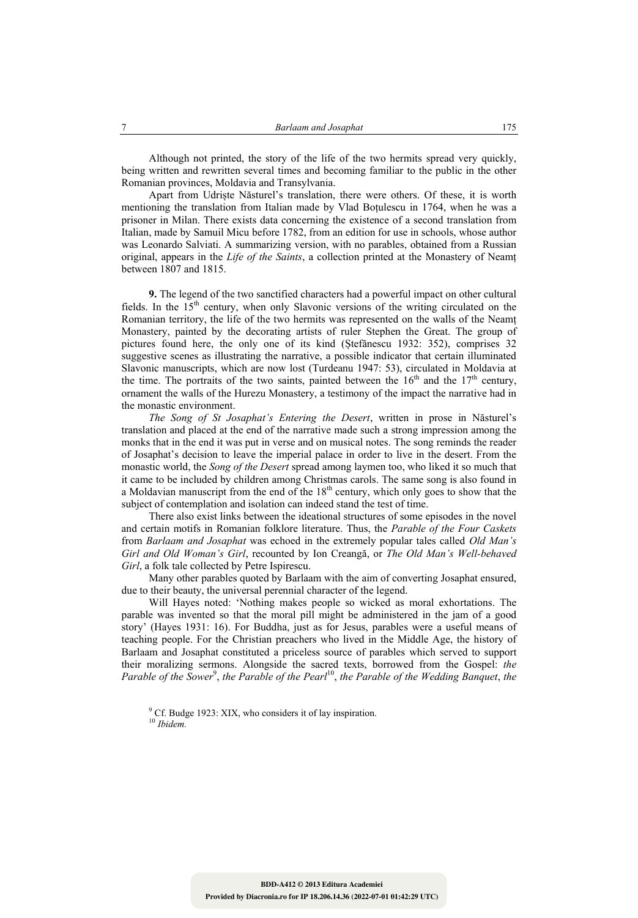Although not printed, the story of the life of the two hermits spread very quickly, being written and rewritten several times and becoming familiar to the public in the other Romanian provinces, Moldavia and Transylvania.

Apart from Udriște Năsturel's translation, there were others. Of these, it is worth mentioning the translation from Italian made by Vlad Boțulescu in 1764, when he was a prisoner in Milan. There exists data concerning the existence of a second translation from Italian, made by Samuil Micu before 1782, from an edition for use in schools, whose author was Leonardo Salviati. A summarizing version, with no parables, obtained from a Russian original, appears in the *Life of the Saints*, a collection printed at the Monastery of Neamț between 1807 and 1815.

**9.** The legend of the two sanctified characters had a powerful impact on other cultural fields. In the  $15<sup>th</sup>$  century, when only Slavonic versions of the writing circulated on the Romanian territory, the life of the two hermits was represented on the walls of the Neamț Monastery, painted by the decorating artists of ruler Stephen the Great. The group of pictures found here, the only one of its kind (Ștefănescu 1932: 352), comprises 32 suggestive scenes as illustrating the narrative, a possible indicator that certain illuminated Slavonic manuscripts, which are now lost (Turdeanu 1947: 53), circulated in Moldavia at the time. The portraits of the two saints, painted between the  $16<sup>th</sup>$  and the  $17<sup>th</sup>$  century, ornament the walls of the Hurezu Monastery, a testimony of the impact the narrative had in the monastic environment.

*The Song of St Josaphat's Entering the Desert*, written in prose in Năsturel's translation and placed at the end of the narrative made such a strong impression among the monks that in the end it was put in verse and on musical notes. The song reminds the reader of Josaphat's decision to leave the imperial palace in order to live in the desert. From the monastic world, the *Song of the Desert* spread among laymen too, who liked it so much that it came to be included by children among Christmas carols. The same song is also found in a Moldavian manuscript from the end of the  $18<sup>th</sup>$  century, which only goes to show that the subject of contemplation and isolation can indeed stand the test of time.

There also exist links between the ideational structures of some episodes in the novel and certain motifs in Romanian folklore literature. Thus, the *Parable of the Four Caskets* from *Barlaam and Josaphat* was echoed in the extremely popular tales called *Old Man's Girl and Old Woman's Girl*, recounted by Ion Creangă, or *The Old Man's Well-behaved Girl*, a folk tale collected by Petre Ispirescu.

Many other parables quoted by Barlaam with the aim of converting Josaphat ensured, due to their beauty, the universal perennial character of the legend.

Will Hayes noted: 'Nothing makes people so wicked as moral exhortations. The parable was invented so that the moral pill might be administered in the jam of a good story' (Hayes 1931: 16). For Buddha, just as for Jesus, parables were a useful means of teaching people. For the Christian preachers who lived in the Middle Age, the history of Barlaam and Josaphat constituted a priceless source of parables which served to support their moralizing sermons. Alongside the sacred texts, borrowed from the Gospel: *the*  Parable of the Sower<sup>9</sup>, the Parable of the Pearl<sup>10</sup>, the Parable of the Wedding Banquet, the

<sup>9</sup> Cf. Budge 1923: XIX, who considers it of lay inspiration. 10 *Ibidem.*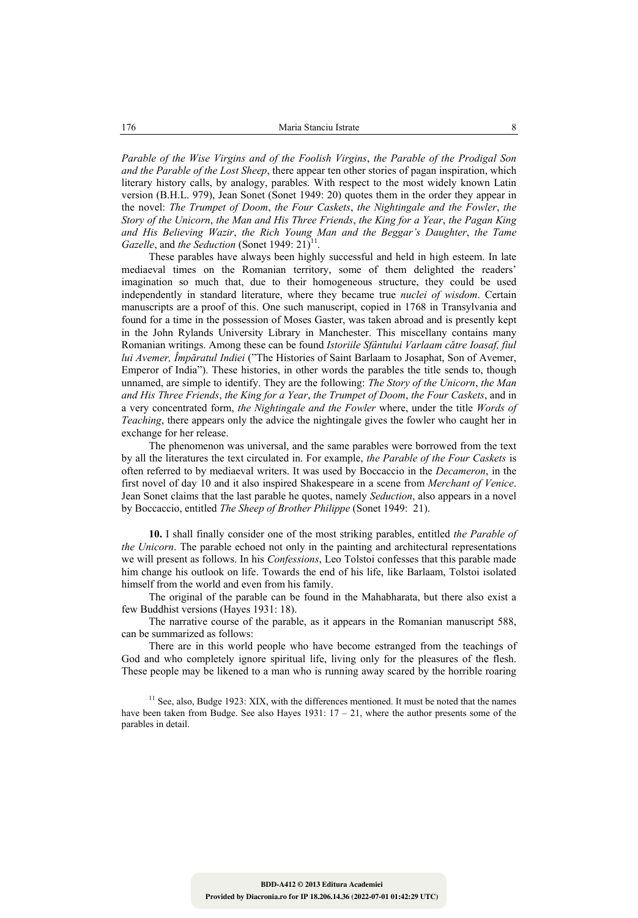*Parable of the Wise Virgins and of the Foolish Virgins*, *the Parable of the Prodigal Son and the Parable of the Lost Sheep*, there appear ten other stories of pagan inspiration, which literary history calls, by analogy, parables. With respect to the most widely known Latin version (B.H.L. 979), Jean Sonet (Sonet 1949: 20) quotes them in the order they appear in the novel: *The Trumpet of Doom*, *the Four Caskets*, *the Nightingale and the Fowler*, *the Story of the Unicorn*, *the Man and His Three Friends*, *the King for a Year*, *the Pagan King and His Believing Wazir*, *the Rich Young Man and the Beggar's Daughter*, *the Tame Gazelle*, and *the Seduction* (Sonet 1949: 21)<sup>11</sup>

These parables have always been highly successful and held in high esteem. In late mediaeval times on the Romanian territory, some of them delighted the readers' imagination so much that, due to their homogeneous structure, they could be used independently in standard literature, where they became true *nuclei of wisdom*. Certain manuscripts are a proof of this. One such manuscript, copied in 1768 in Transylvania and found for a time in the possession of Moses Gaster, was taken abroad and is presently kept in the John Rylands University Library in Manchester. This miscellany contains many Romanian writings. Among these can be found *Istoriile Sfântului Varlaam către Ioasaf, fiul lui Avemer, Împăratul Indiei* ("The Histories of Saint Barlaam to Josaphat, Son of Avemer, Emperor of India"). These histories, in other words the parables the title sends to, though unnamed, are simple to identify. They are the following: *The Story of the Unicorn*, *the Man and His Three Friends*, *the King for a Year*, *the Trumpet of Doom*, *the Four Caskets*, and in a very concentrated form, *the Nightingale and the Fowler* where, under the title *Words of Teaching*, there appears only the advice the nightingale gives the fowler who caught her in exchange for her release.

The phenomenon was universal, and the same parables were borrowed from the text by all the literatures the text circulated in. For example, *the Parable of the Four Caskets* is often referred to by mediaeval writers. It was used by Boccaccio in the *Decameron*, in the first novel of day 10 and it also inspired Shakespeare in a scene from *Merchant of Venice*. Jean Sonet claims that the last parable he quotes, namely *Seduction*, also appears in a novel by Boccaccio, entitled *The Sheep of Brother Philippe* (Sonet 1949: 21).

**10.** I shall finally consider one of the most striking parables, entitled *the Parable of the Unicorn*. The parable echoed not only in the painting and architectural representations we will present as follows. In his *Confessions*, Leo Tolstoi confesses that this parable made him change his outlook on life. Towards the end of his life, like Barlaam, Tolstoi isolated himself from the world and even from his family.

The original of the parable can be found in the Mahabharata, but there also exist a few Buddhist versions (Hayes 1931: 18).

The narrative course of the parable, as it appears in the Romanian manuscript 588, can be summarized as follows:

There are in this world people who have become estranged from the teachings of God and who completely ignore spiritual life, living only for the pleasures of the flesh. These people may be likened to a man who is running away scared by the horrible roaring

 $11$  See, also, Budge 1923: XIX, with the differences mentioned. It must be noted that the names have been taken from Budge. See also Hayes 1931:  $17 - 21$ , where the author presents some of the parables in detail.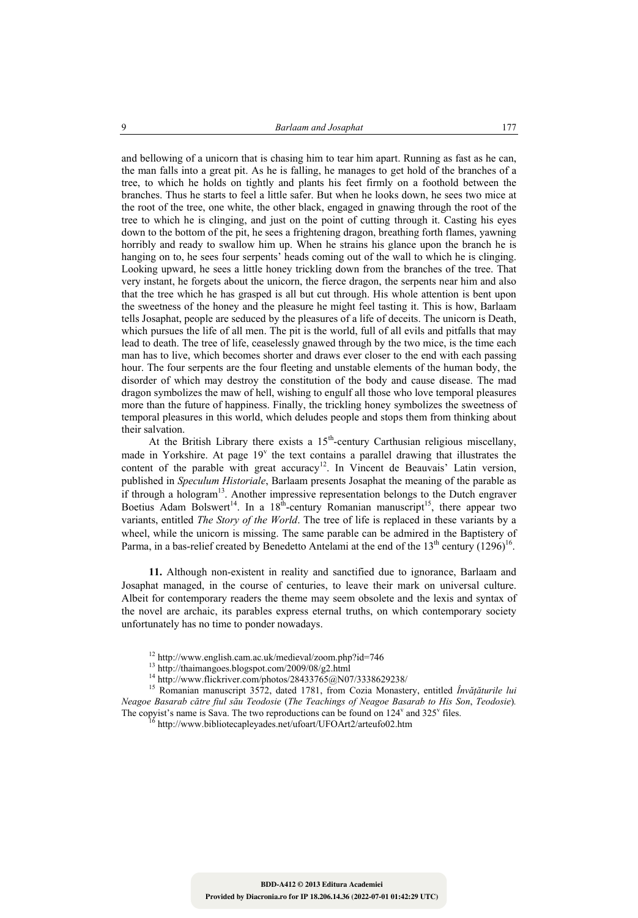and bellowing of a unicorn that is chasing him to tear him apart. Running as fast as he can, the man falls into a great pit. As he is falling, he manages to get hold of the branches of a tree, to which he holds on tightly and plants his feet firmly on a foothold between the branches. Thus he starts to feel a little safer. But when he looks down, he sees two mice at the root of the tree, one white, the other black, engaged in gnawing through the root of the tree to which he is clinging, and just on the point of cutting through it. Casting his eyes down to the bottom of the pit, he sees a frightening dragon, breathing forth flames, yawning horribly and ready to swallow him up. When he strains his glance upon the branch he is hanging on to, he sees four serpents' heads coming out of the wall to which he is clinging. Looking upward, he sees a little honey trickling down from the branches of the tree. That very instant, he forgets about the unicorn, the fierce dragon, the serpents near him and also that the tree which he has grasped is all but cut through. His whole attention is bent upon the sweetness of the honey and the pleasure he might feel tasting it. This is how, Barlaam tells Josaphat, people are seduced by the pleasures of a life of deceits. The unicorn is Death, which pursues the life of all men. The pit is the world, full of all evils and pitfalls that may lead to death. The tree of life, ceaselessly gnawed through by the two mice, is the time each man has to live, which becomes shorter and draws ever closer to the end with each passing hour. The four serpents are the four fleeting and unstable elements of the human body, the disorder of which may destroy the constitution of the body and cause disease. The mad dragon symbolizes the maw of hell, wishing to engulf all those who love temporal pleasures more than the future of happiness. Finally, the trickling honey symbolizes the sweetness of temporal pleasures in this world, which deludes people and stops them from thinking about their salvation.

At the British Library there exists a  $15<sup>th</sup>$ -century Carthusian religious miscellany, made in Yorkshire. At page  $19<sup>v</sup>$  the text contains a parallel drawing that illustrates the content of the parable with great accuracy<sup>12</sup>. In Vincent de Beauvais' Latin version, published in *Speculum Historiale*, Barlaam presents Josaphat the meaning of the parable as if through a hologram<sup>13</sup>. Another impressive representation belongs to the Dutch engraver Boetius Adam Bolswert<sup>14</sup>. In a 18<sup>th</sup>-century Romanian manuscript<sup>15</sup>, there appear two variants, entitled *The Story of the World*. The tree of life is replaced in these variants by a wheel, while the unicorn is missing. The same parable can be admired in the Baptistery of Parma, in a bas-relief created by Benedetto Antelami at the end of the  $13<sup>th</sup>$  century (1296)<sup>16</sup>.

**11.** Although non-existent in reality and sanctified due to ignorance, Barlaam and Josaphat managed, in the course of centuries, to leave their mark on universal culture. Albeit for contemporary readers the theme may seem obsolete and the lexis and syntax of the novel are archaic, its parables express eternal truths, on which contemporary society unfortunately has no time to ponder nowadays.

<sup>&</sup>lt;sup>12</sup> http://www.english.cam.ac.uk/medieval/zoom.php?id=746<br><sup>13</sup> http://thaimangoes.blogspot.com/2009/08/g2.html<br><sup>14</sup> http://www.flickriver.com/photos/28433765@N07/3338629238/

<sup>&</sup>lt;sup>15</sup> Romanian manuscript 3572, dated 1781, from Cozia Monastery, entitled *Învățăturile lui Neagoe Basarab către fiul său Teodosie* (*The Teachings of Neagoe Basarab to His Son*, *Teodosie*)*.*  The copyist's name is Sava. The two reproductions can be found on  $124^{\nu}$  and  $325^{\nu}$  files.<br><sup>16</sup> http://www.bibliotecapleyades.net/ufoart/UFOArt2/arteufo02.htm